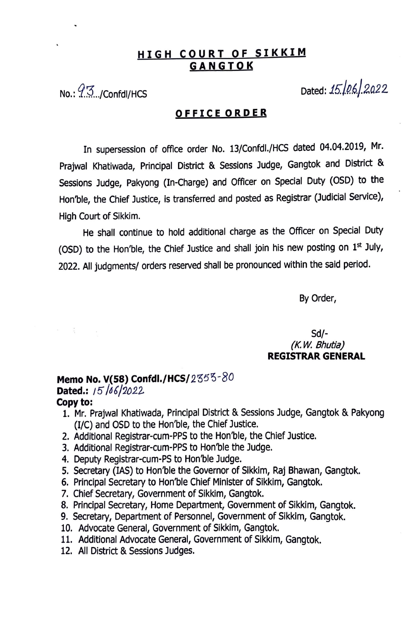# **HIGH COURT OF SIKKIM GANGTOK**

No.:  $9.3...$ /Confdl/HCS Dated: *15.06.* 2022

### **OFFICE ORDER**

In supersession of office order No. 13/Confdl./HCS dated 04.04.2019, Mr. Prajwal Khatiwada, Principal District & Sessions Judge, Gangtok and District & Sessions Judge, Pakyong {In-Charge) and Officer on Special Duty (OSD) to the Hon'ble, the Chief Justice, is transferred and posted as Registrar (Judicial Service), High Court of Sikkim.

He shall continue to hold additional charge as the Officer on Special Duty (OSD) to the Hon'ble, the Chief Justice and shall join his new posting on  $1<sup>st</sup>$  July, 2022. All judgments/ orders reserved shall be pronounced within the said period.

By Order,

### Sd/- *(K. W. Bhutia)*  **REGISTRAR GENERAL**

## **Memo No. V(58) Confdl./HCS/2353-80 Dated.:**  $15/16/2022$

#### **Copy to:**

 $\label{eq:1} \alpha_{\rm{max}} = \frac{1}{\sqrt{2}} \left( \frac{1}{\sqrt{2}} \right) \left( \frac{1}{\sqrt{2}} \right) \left( \frac{1}{\sqrt{2}} \right)$ 

- 1. Mr. Prajwal Khatiwada, Principal District & Sessions Judge, Gangtok & Pakyong (1/C) and OSD to the Hon'ble, the Chief Justice.
- 2. Additional Registrar-cum-PPS to the Hon'ble, the Chief Justice.
- 3. Additional Registrar-cum-PPS to Hon'ble the Judge.
- 4. Deputy Registrar-cum-PS to Hon'ble Judge.
- 5. Secretary (IAS) to Hon'ble the Governor of Sikkim, Raj Bhawan, Gangtok.
- 6. Principal Secretary to Hon'ble Chief Minister of Sikkim, Gangtok.
- 7. Chief Secretary, Government of Sikkim, Gangtok.
- 8. Principal Secretary, Home Department, Government of Sikkim, Gangtok.
- 9. Secretary, Department of Personnel, Government of Sikkim, Gangtok.
- 10. Advocate General, Government of Sikkim, Gangtok.
- 11. Additional Advocate General, Government of Sikkim, Gangtok.
- 12. All District & Sessions Judges.